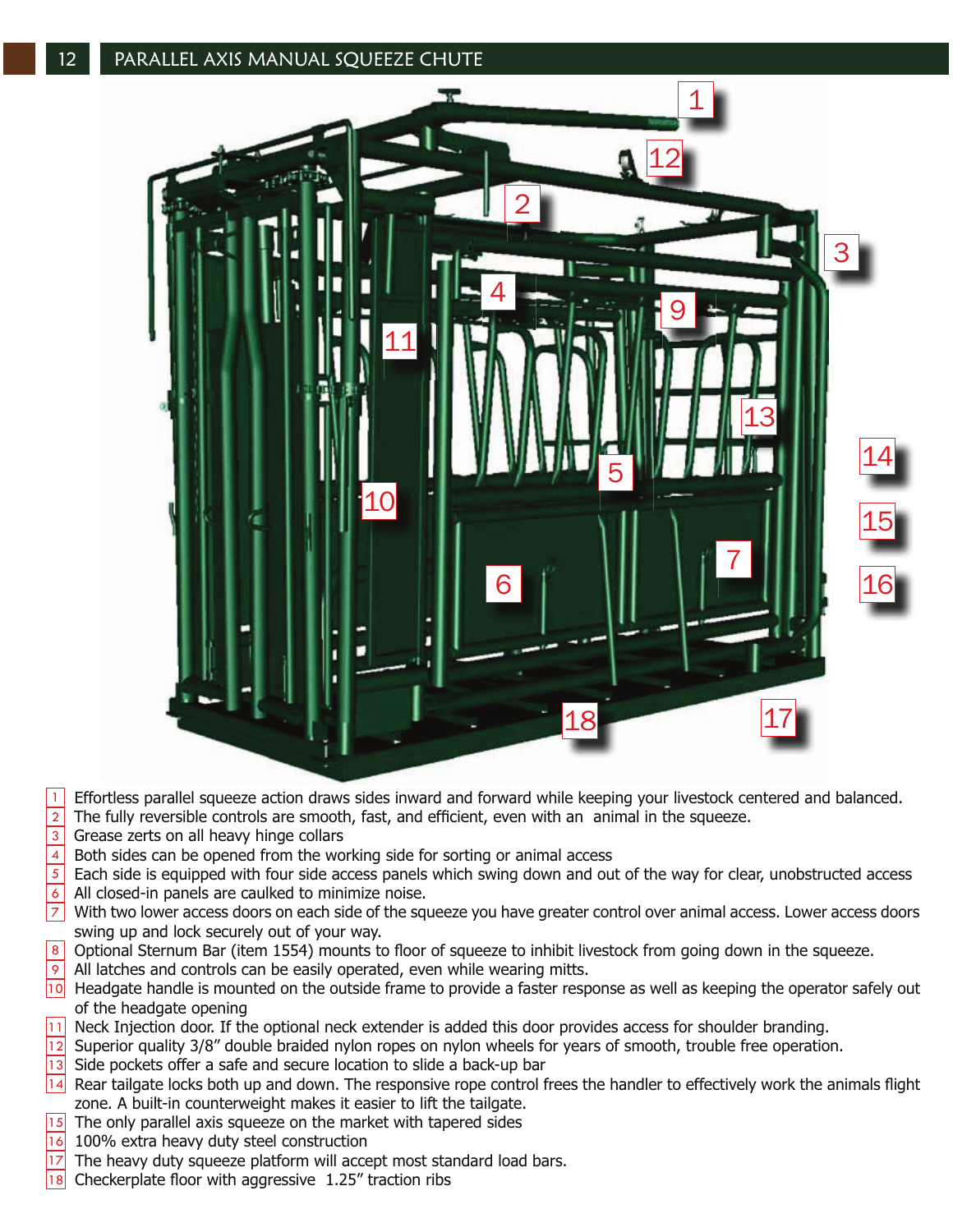

## Effortless parallel squeeze action draws sides inward and forward while keeping your livestock centered and balanced. 1

The fully reversible controls are smooth, fast, and efficient, even with an animal in the squeeze.  $\overline{2}$ 

- Grease zerts on all heavy hinge collars 3
- Both sides can be opened from the working side for sorting or animal access 4
- Each side is equipped with four side access panels which swing down and out of the way for clear, unobstructed access All closed-in panels are caulked to minimize noise.  $\overline{5}$ 6
- With two lower access doors on each side of the squeeze you have greater control over animal access. Lower access doors swing up and lock securely out of your way.  $|7|$
- Optional Sternum Bar (item 1554) mounts to floor of squeeze to inhibit livestock from going down in the squeeze. 8
- All latches and controls can be easily operated, even while wearing mitts.  $\overline{9}$
- 10 Headgate handle is mounted on the outside frame to provide a faster response as well as keeping the operator safely out of the headgate opening
- Neck Injection door. If the optional neck extender is added this door provides access for shoulder branding. 11
- Superior quality 3/8" double braided nylon ropes on nylon wheels for years of smooth, trouble free operation.  $\overline{1}2$
- Side pockets offer a safe and secure location to slide a back-up bar  $|13|$
- 14 Rear tailgate locks both up and down. The responsive rope control frees the handler to effectively work the animals flight zone. A built-in counterweight makes it easier to lift the tailgate.
- The only parallel axis squeeze on the market with tapered sides  $|15|$
- 100% extra heavy duty steel construction  $\overline{16}$
- The heavy duty squeeze platform will accept most standard load bars. 17
- E9theckerplate floor with aggressive 1.25" traction ribs 18